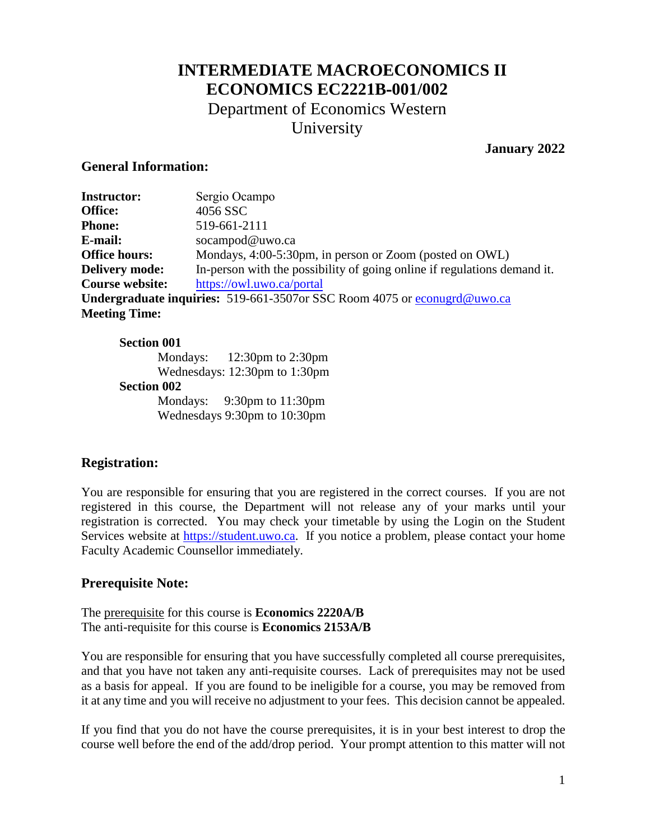# **INTERMEDIATE MACROECONOMICS II ECONOMICS EC2221B-001/002**  Department of Economics Western

University

### **January 2022**

#### **General Information:**

| <b>Instructor:</b>                                                       | Sergio Ocampo                                                            |  |
|--------------------------------------------------------------------------|--------------------------------------------------------------------------|--|
| Office:                                                                  | 4056 SSC                                                                 |  |
| <b>Phone:</b>                                                            | 519-661-2111                                                             |  |
| E-mail:                                                                  | socampod@uwo.ca                                                          |  |
| <b>Office hours:</b>                                                     | Mondays, 4:00-5:30pm, in person or Zoom (posted on OWL)                  |  |
| <b>Delivery mode:</b>                                                    | In-person with the possibility of going online if regulations demand it. |  |
| <b>Course website:</b>                                                   | https://owl.uwo.ca/portal                                                |  |
| Undergraduate inquiries: 519-661-3507or SSC Room 4075 or econugrd@uwo.ca |                                                                          |  |
| <b>Meeting Time:</b>                                                     |                                                                          |  |

#### **Section 001**

Mondays: 12:30pm to 2:30pm Wednesdays: 12:30pm to 1:30pm **Section 002**  Mondays: 9:30pm to 11:30pm Wednesdays 9:30pm to 10:30pm

### **Registration:**

You are responsible for ensuring that you are registered in the correct courses. If you are not registered in this course, the Department will not release any of your marks until your registration is corrected. You may check your timetable by using the Login on the Student Services website at [https://student.uwo.ca.](https://student.uwo.ca/) If you notice a problem, please contact your home Faculty Academic Counsellor immediately.

### **Prerequisite Note:**

The prerequisite for this course is **Economics 2220A/B**  The anti-requisite for this course is **Economics 2153A/B**

You are responsible for ensuring that you have successfully completed all course prerequisites, and that you have not taken any anti-requisite courses. Lack of prerequisites may not be used as a basis for appeal. If you are found to be ineligible for a course, you may be removed from it at any time and you will receive no adjustment to your fees. This decision cannot be appealed.

If you find that you do not have the course prerequisites, it is in your best interest to drop the course well before the end of the add/drop period. Your prompt attention to this matter will not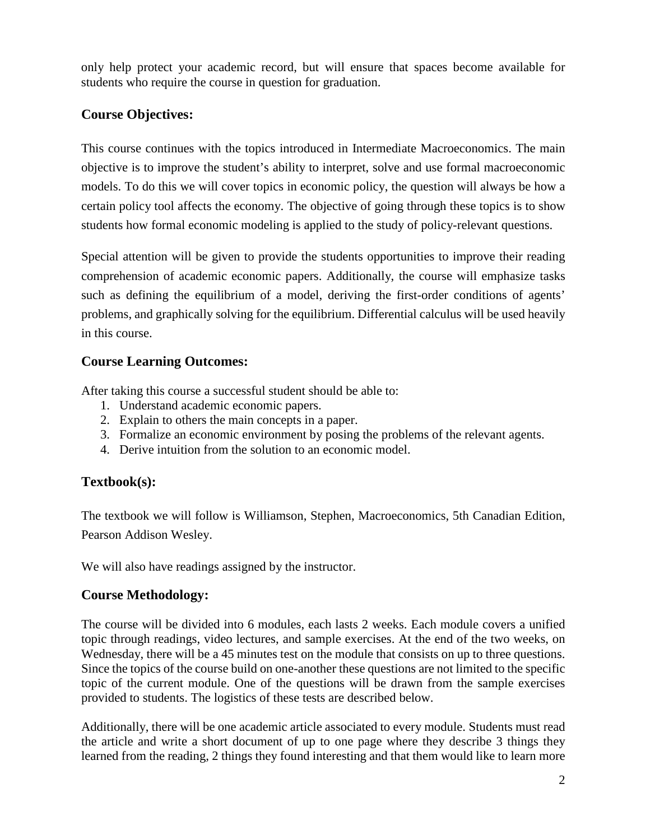only help protect your academic record, but will ensure that spaces become available for students who require the course in question for graduation.

### **Course Objectives:**

This course continues with the topics introduced in Intermediate Macroeconomics. The main objective is to improve the student's ability to interpret, solve and use formal macroeconomic models. To do this we will cover topics in economic policy, the question will always be how a certain policy tool affects the economy. The objective of going through these topics is to show students how formal economic modeling is applied to the study of policy-relevant questions.

Special attention will be given to provide the students opportunities to improve their reading comprehension of academic economic papers. Additionally, the course will emphasize tasks such as defining the equilibrium of a model, deriving the first-order conditions of agents' problems, and graphically solving for the equilibrium. Differential calculus will be used heavily in this course.

### **Course Learning Outcomes:**

After taking this course a successful student should be able to:

- 1. Understand academic economic papers.
- 2. Explain to others the main concepts in a paper.
- 3. Formalize an economic environment by posing the problems of the relevant agents.
- 4. Derive intuition from the solution to an economic model.

### **Textbook(s):**

The textbook we will follow is Williamson, Stephen, Macroeconomics, 5th Canadian Edition, Pearson Addison Wesley.

We will also have readings assigned by the instructor.

### **Course Methodology:**

The course will be divided into 6 modules, each lasts 2 weeks. Each module covers a unified topic through readings, video lectures, and sample exercises. At the end of the two weeks, on Wednesday, there will be a 45 minutes test on the module that consists on up to three questions. Since the topics of the course build on one-another these questions are not limited to the specific topic of the current module. One of the questions will be drawn from the sample exercises provided to students. The logistics of these tests are described below.

Additionally, there will be one academic article associated to every module. Students must read the article and write a short document of up to one page where they describe 3 things they learned from the reading, 2 things they found interesting and that them would like to learn more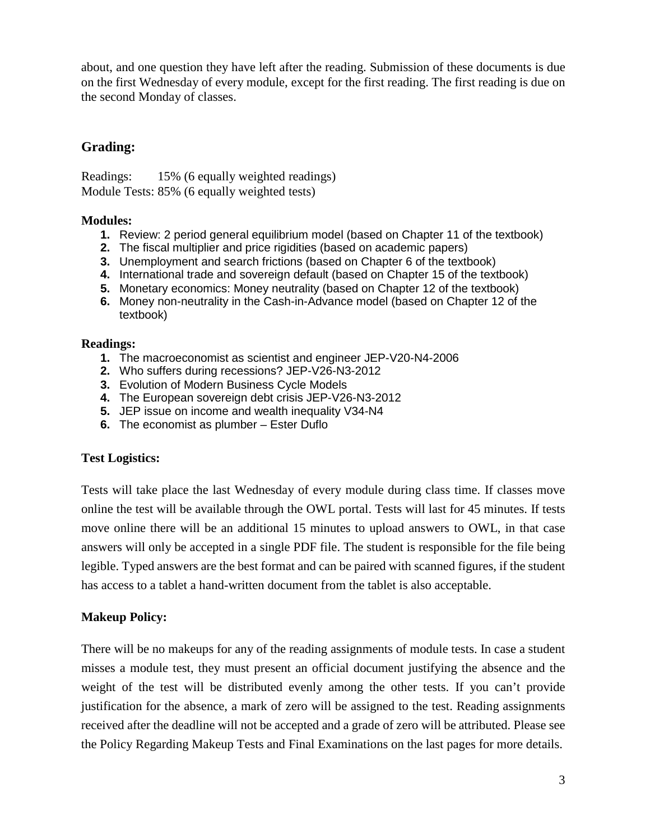about, and one question they have left after the reading. Submission of these documents is due on the first Wednesday of every module, except for the first reading. The first reading is due on the second Monday of classes.

### **Grading:**

Readings: 15% (6 equally weighted readings) Module Tests: 85% (6 equally weighted tests)

#### **Modules:**

- **1.** Review: 2 period general equilibrium model (based on Chapter 11 of the textbook)
- **2.** The fiscal multiplier and price rigidities (based on academic papers)
- **3.** Unemployment and search frictions (based on Chapter 6 of the textbook)
- **4.** International trade and sovereign default (based on Chapter 15 of the textbook)
- **5.** Monetary economics: Money neutrality (based on Chapter 12 of the textbook)
- **6.** Money non-neutrality in the Cash-in-Advance model (based on Chapter 12 of the textbook)

#### **Readings:**

- **1.** The macroeconomist as scientist and engineer JEP-V20-N4-2006
- **2.** Who suffers during recessions? JEP-V26-N3-2012
- **3.** Evolution of Modern Business Cycle Models
- **4.** The European sovereign debt crisis JEP-V26-N3-2012
- **5.** JEP issue on income and wealth inequality V34-N4
- **6.** The economist as plumber Ester Duflo

#### **Test Logistics:**

Tests will take place the last Wednesday of every module during class time. If classes move online the test will be available through the OWL portal. Tests will last for 45 minutes. If tests move online there will be an additional 15 minutes to upload answers to OWL, in that case answers will only be accepted in a single PDF file. The student is responsible for the file being legible. Typed answers are the best format and can be paired with scanned figures, if the student has access to a tablet a hand-written document from the tablet is also acceptable.

#### **Makeup Policy:**

There will be no makeups for any of the reading assignments of module tests. In case a student misses a module test, they must present an official document justifying the absence and the weight of the test will be distributed evenly among the other tests. If you can't provide justification for the absence, a mark of zero will be assigned to the test. Reading assignments received after the deadline will not be accepted and a grade of zero will be attributed. Please see the Policy Regarding Makeup Tests and Final Examinations on the last pages for more details.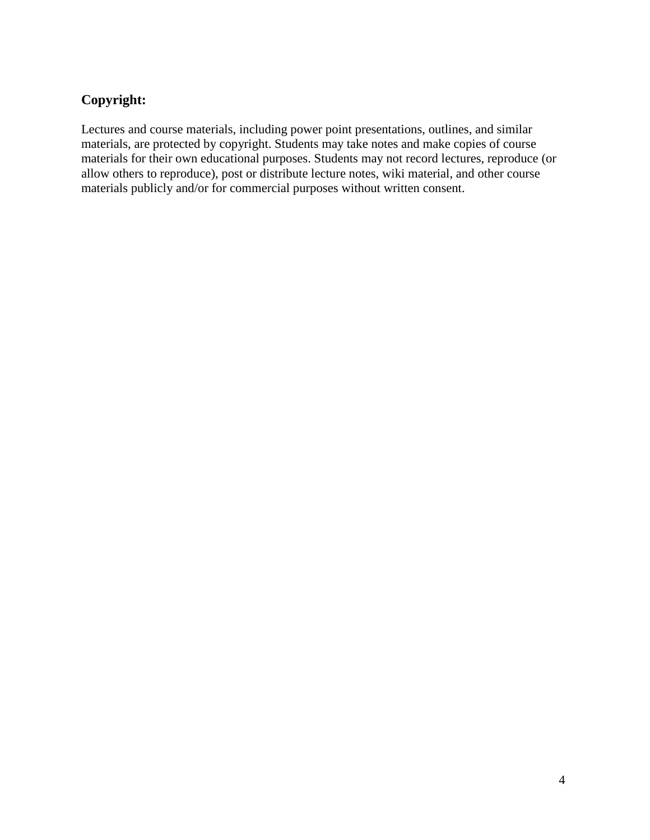## **Copyright:**

Lectures and course materials, including power point presentations, outlines, and similar materials, are protected by copyright. Students may take notes and make copies of course materials for their own educational purposes. Students may not record lectures, reproduce (or allow others to reproduce), post or distribute lecture notes, wiki material, and other course materials publicly and/or for commercial purposes without written consent.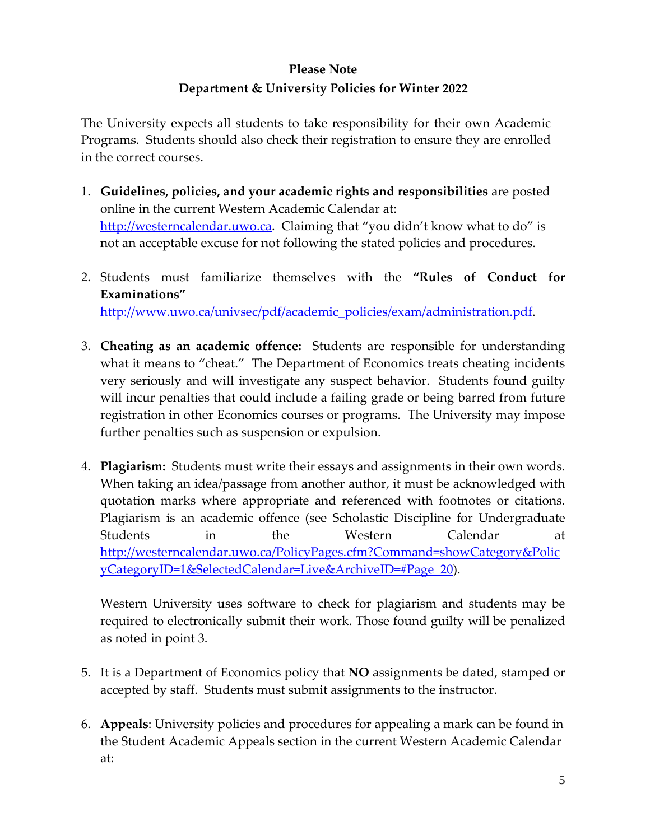## **Please Note Department & University Policies for Winter 2022**

The University expects all students to take responsibility for their own Academic Programs. Students should also check their registration to ensure they are enrolled in the correct courses.

- 1. **Guidelines, policies, and your academic rights and responsibilities** are posted online in the current Western Academic Calendar at: [http://westerncalendar.uwo.ca.](http://westerncalendar.uwo.ca/) Claiming that "you didn't know what to do" is not an acceptable excuse for not following the stated policies and procedures.
- 2. Students must familiarize themselves with the **"Rules of Conduct for Examinations"** [http://www.uwo.ca/univsec/pdf/academic\\_policies/exam/administration.pdf.](http://www.uwo.ca/univsec/pdf/academic_policies/exam/administration.pdf)
- 3. **Cheating as an academic offence:** Students are responsible for understanding what it means to "cheat." The Department of Economics treats cheating incidents very seriously and will investigate any suspect behavior. Students found guilty will incur penalties that could include a failing grade or being barred from future registration in other Economics courses or programs. The University may impose further penalties such as suspension or expulsion.
- 4. **Plagiarism:** Students must write their essays and assignments in their own words. When taking an idea/passage from another author, it must be acknowledged with quotation marks where appropriate and referenced with footnotes or citations. Plagiarism is an academic offence (see Scholastic Discipline for Undergraduate Students in the Western Calendar at [http://westerncalendar.uwo.ca/PolicyPages.cfm?Command=showCategory&Polic](http://westerncalendar.uwo.ca/PolicyPages.cfm?Command=showCategory&PolicyCategoryID=1&SelectedCalendar=Live&ArchiveID=#Page_20) [yCategoryID=1&SelectedCalendar=Live&ArchiveID=#Page\\_20\)](http://westerncalendar.uwo.ca/PolicyPages.cfm?Command=showCategory&PolicyCategoryID=1&SelectedCalendar=Live&ArchiveID=#Page_20).

Western University uses software to check for plagiarism and students may be required to electronically submit their work. Those found guilty will be penalized as noted in point 3.

- 5. It is a Department of Economics policy that **NO** assignments be dated, stamped or accepted by staff. Students must submit assignments to the instructor.
- 6. **Appeals**: University policies and procedures for appealing a mark can be found in the Student Academic Appeals section in the current Western Academic Calendar at: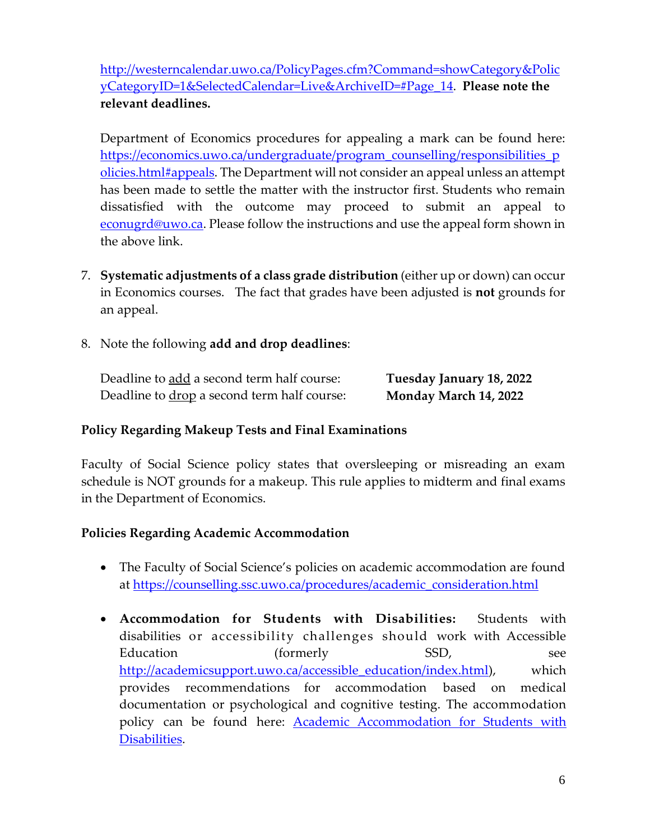[http://westerncalendar.uwo.ca/PolicyPages.cfm?Command=showCategory&Polic](http://westerncalendar.uwo.ca/PolicyPages.cfm?Command=showCategory&PolicyCategoryID=1&SelectedCalendar=Live&ArchiveID=#Page_14) [yCategoryID=1&SelectedCalendar=Live&ArchiveID=#Page\\_14.](http://westerncalendar.uwo.ca/PolicyPages.cfm?Command=showCategory&PolicyCategoryID=1&SelectedCalendar=Live&ArchiveID=#Page_14) **Please note the relevant deadlines.**

Department of Economics procedures for appealing a mark can be found here: [https://economics.uwo.ca/undergraduate/program\\_counselling/responsibilities\\_p](https://economics.uwo.ca/undergraduate/program_counselling/responsibilities_policies.html#appeals) [olicies.html#appeals.](https://economics.uwo.ca/undergraduate/program_counselling/responsibilities_policies.html#appeals) The Department will not consider an appeal unless an attempt has been made to settle the matter with the instructor first. Students who remain dissatisfied with the outcome may proceed to submit an appeal to [econugrd@uwo.ca.](mailto:econugrd@uwo.ca) Please follow the instructions and use the appeal form shown in the above link.

- 7. **Systematic adjustments of a class grade distribution** (either up or down) can occur in Economics courses. The fact that grades have been adjusted is **not** grounds for an appeal.
- 8. Note the following **add and drop deadlines**:

| Deadline to add a second term half course:         | Tuesday January 18, 2022 |
|----------------------------------------------------|--------------------------|
| Deadline to <u>drop</u> a second term half course: | Monday March 14, 2022    |

### **Policy Regarding Makeup Tests and Final Examinations**

Faculty of Social Science policy states that oversleeping or misreading an exam schedule is NOT grounds for a makeup. This rule applies to midterm and final exams in the Department of Economics.

### **Policies Regarding Academic Accommodation**

- The Faculty of Social Science's policies on academic accommodation are found at [https://counselling.ssc.uwo.ca/procedures/academic\\_consideration.html](https://counselling.ssc.uwo.ca/procedures/academic_consideration.html)
- **Accommodation for Students with Disabilities:** Students with disabilities or accessibility challenges should work with Accessible Education (formerly SSD, see [http://academicsupport.uwo.ca/accessible\\_education/index.html\)](http://academicsupport.uwo.ca/accessible_education/index.html), which provides recommendations for accommodation based on medical documentation or psychological and cognitive testing. The accommodation policy can be found here: **Academic Accommodation for Students with** [Disabilities.](https://www.uwo.ca/univsec/pdf/academic_policies/appeals/Academic%20Accommodation_disabilities.pdf)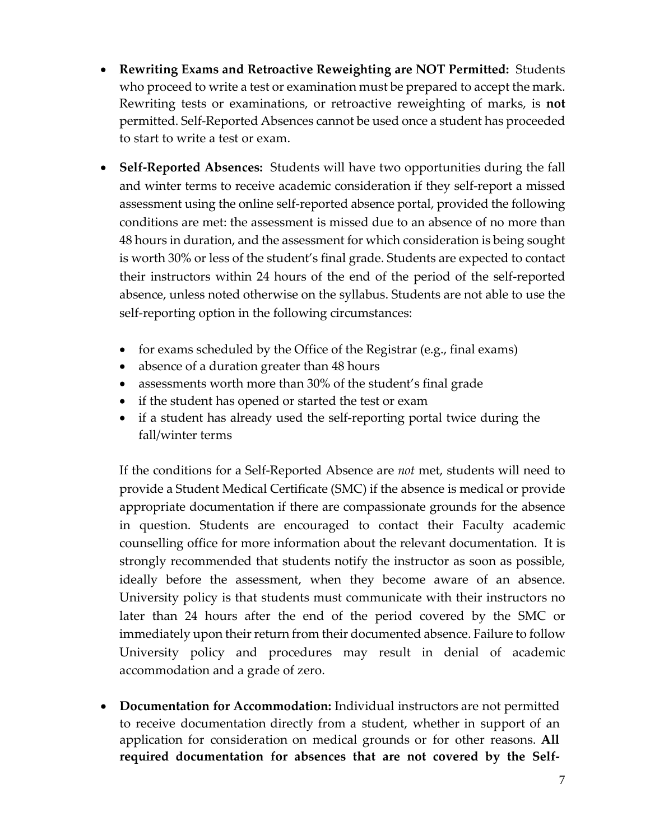- **Rewriting Exams and Retroactive Reweighting are NOT Permitted:** Students who proceed to write a test or examination must be prepared to accept the mark. Rewriting tests or examinations, or retroactive reweighting of marks, is **not** permitted. Self-Reported Absences cannot be used once a student has proceeded to start to write a test or exam.
- **Self-Reported Absences:** Students will have two opportunities during the fall and winter terms to receive academic consideration if they self-report a missed assessment using the online self-reported absence portal, provided the following conditions are met: the assessment is missed due to an absence of no more than 48 hours in duration, and the assessment for which consideration is being sought is worth 30% or less of the student's final grade. Students are expected to contact their instructors within 24 hours of the end of the period of the self-reported absence, unless noted otherwise on the syllabus. Students are not able to use the self-reporting option in the following circumstances:
	- for exams scheduled by the Office of the Registrar (e.g., final exams)
	- absence of a duration greater than 48 hours
	- assessments worth more than 30% of the student's final grade
	- if the student has opened or started the test or exam
	- if a student has already used the self-reporting portal twice during the fall/winter terms

If the conditions for a Self-Reported Absence are *not* met, students will need to provide a Student Medical Certificate (SMC) if the absence is medical or provide appropriate documentation if there are compassionate grounds for the absence in question. Students are encouraged to contact their Faculty academic counselling office for more information about the relevant documentation. It is strongly recommended that students notify the instructor as soon as possible, ideally before the assessment, when they become aware of an absence. University policy is that students must communicate with their instructors no later than 24 hours after the end of the period covered by the SMC or immediately upon their return from their documented absence. Failure to follow University policy and procedures may result in denial of academic accommodation and a grade of zero.

• **Documentation for Accommodation:** Individual instructors are not permitted to receive documentation directly from a student, whether in support of an application for consideration on medical grounds or for other reasons. **All required documentation for absences that are not covered by the Self-**